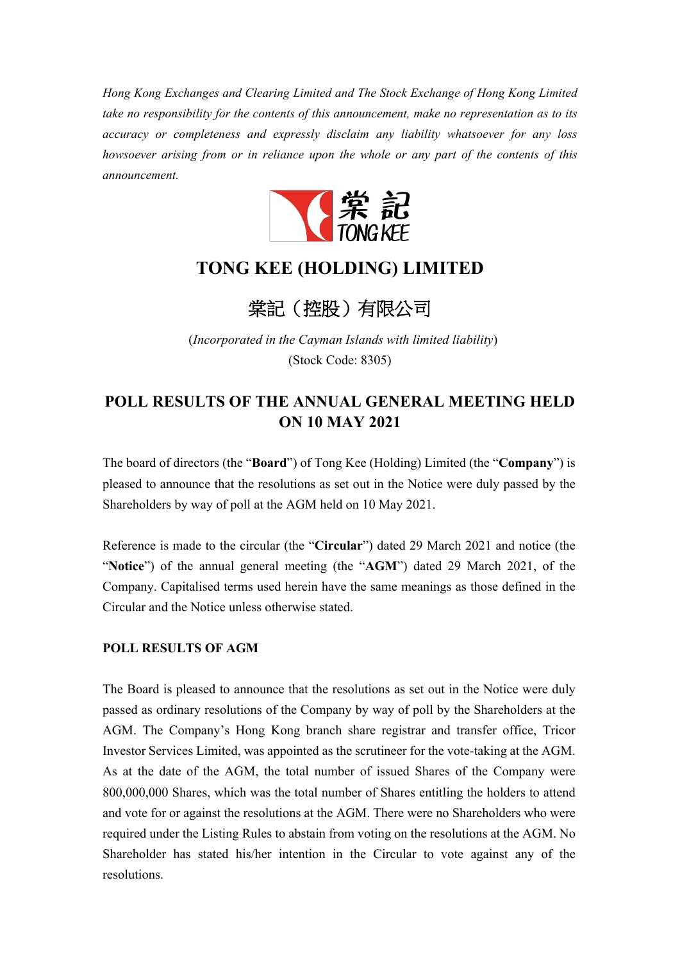*Hong Kong Exchanges and Clearing Limited and The Stock Exchange of Hong Kong Limited take no responsibility for the contents of this announcement, make no representation as to its accuracy or completeness and expressly disclaim any liability whatsoever for any loss howsoever arising from or in reliance upon the whole or any part of the contents of this announcement.* 



## **TONG KEE (HOLDING) LIMITED**

棠記(控股)有限公司

(*Incorporated in the Cayman Islands with limited liability*) (Stock Code: 8305)

## **POLL RESULTS OF THE ANNUAL GENERAL MEETING HELD ON 10 MAY 2021**

The board of directors (the "**Board**") of Tong Kee (Holding) Limited (the "**Company**") is pleased to announce that the resolutions as set out in the Notice were duly passed by the Shareholders by way of poll at the AGM held on 10 May 2021.

Reference is made to the circular (the "**Circular**") dated 29 March 2021 and notice (the "**Notice**") of the annual general meeting (the "**AGM**") dated 29 March 2021, of the Company. Capitalised terms used herein have the same meanings as those defined in the Circular and the Notice unless otherwise stated.

## **POLL RESULTS OF AGM**

The Board is pleased to announce that the resolutions as set out in the Notice were duly passed as ordinary resolutions of the Company by way of poll by the Shareholders at the AGM. The Company's Hong Kong branch share registrar and transfer office, Tricor Investor Services Limited, was appointed as the scrutineer for the vote-taking at the AGM. As at the date of the AGM, the total number of issued Shares of the Company were 800,000,000 Shares, which was the total number of Shares entitling the holders to attend and vote for or against the resolutions at the AGM. There were no Shareholders who were required under the Listing Rules to abstain from voting on the resolutions at the AGM. No Shareholder has stated his/her intention in the Circular to vote against any of the resolutions.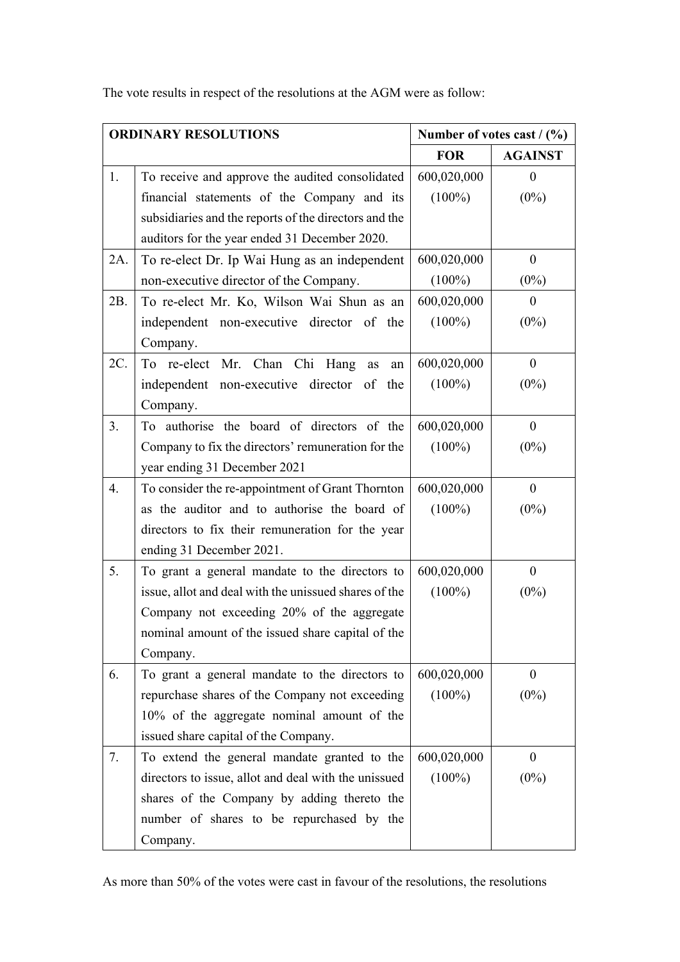The vote results in respect of the resolutions at the AGM were as follow:

| <b>ORDINARY RESOLUTIONS</b> |                                                       | Number of votes cast $/(96)$ |                |
|-----------------------------|-------------------------------------------------------|------------------------------|----------------|
|                             |                                                       | <b>FOR</b>                   | <b>AGAINST</b> |
| 1.                          | To receive and approve the audited consolidated       | 600,020,000                  | $\theta$       |
|                             | financial statements of the Company and its           | $(100\%)$                    | $(0\%)$        |
|                             | subsidiaries and the reports of the directors and the |                              |                |
|                             | auditors for the year ended 31 December 2020.         |                              |                |
| 2A.                         | To re-elect Dr. Ip Wai Hung as an independent         | 600,020,000                  | $\mathbf{0}$   |
|                             | non-executive director of the Company.                | $(100\%)$                    | $(0\%)$        |
| 2B.                         | To re-elect Mr. Ko, Wilson Wai Shun as an             | 600,020,000                  | $\overline{0}$ |
|                             | independent non-executive director of the             | $(100\%)$                    | $(0\%)$        |
|                             | Company.                                              |                              |                |
| 2C.                         | To re-elect Mr. Chan Chi Hang as<br>an                | 600,020,000                  | $\mathbf{0}$   |
|                             | independent non-executive director of the             | $(100\%)$                    | $(0\%)$        |
|                             | Company.                                              |                              |                |
| 3.                          | To authorise the board of directors of the            | 600,020,000                  | $\overline{0}$ |
|                             | Company to fix the directors' remuneration for the    | $(100\%)$                    | $(0\%)$        |
|                             | year ending 31 December 2021                          |                              |                |
| 4.                          | To consider the re-appointment of Grant Thornton      | 600,020,000                  | $\mathbf{0}$   |
|                             | as the auditor and to authorise the board of          | $(100\%)$                    | $(0\%)$        |
|                             | directors to fix their remuneration for the year      |                              |                |
|                             | ending 31 December 2021.                              |                              |                |
| 5.                          | To grant a general mandate to the directors to        | 600,020,000                  | $\mathbf{0}$   |
|                             | issue, allot and deal with the unissued shares of the | $(100\%)$                    | $(0\%)$        |
|                             | Company not exceeding 20% of the aggregate            |                              |                |
|                             | nominal amount of the issued share capital of the     |                              |                |
|                             | Company.                                              |                              |                |
| 6.                          | To grant a general mandate to the directors to        | 600,020,000                  | $\mathbf{0}$   |
|                             | repurchase shares of the Company not exceeding        | $(100\%)$                    | $(0\%)$        |
|                             | 10% of the aggregate nominal amount of the            |                              |                |
|                             | issued share capital of the Company.                  |                              |                |
| 7.                          | To extend the general mandate granted to the          | 600,020,000                  | $\mathbf{0}$   |
|                             | directors to issue, allot and deal with the unissued  | $(100\%)$                    | $(0\%)$        |
|                             | shares of the Company by adding thereto the           |                              |                |
|                             | number of shares to be repurchased by the             |                              |                |
|                             | Company.                                              |                              |                |

As more than 50% of the votes were cast in favour of the resolutions, the resolutions